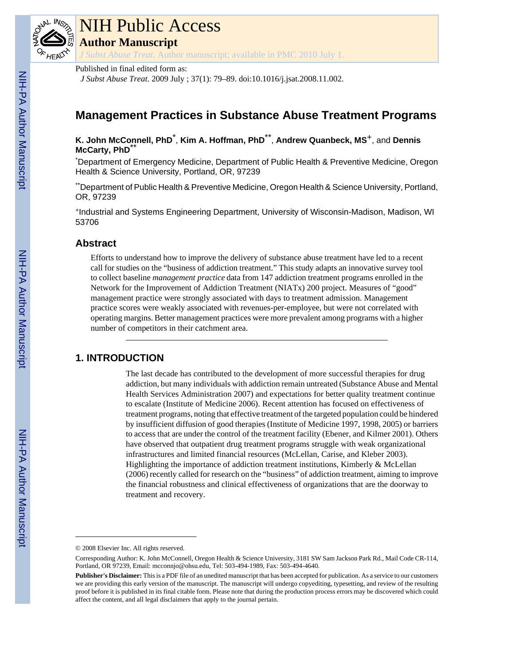

# NIH Public Access

**Author Manuscript**

*J Subst Abuse Treat*. Author manuscript; available in PMC 2010 July 1.

## Published in final edited form as:

*J Subst Abuse Treat*. 2009 July ; 37(1): 79–89. doi:10.1016/j.jsat.2008.11.002.

## **Management Practices in Substance Abuse Treatment Programs**

**K. John McConnell, PhD**\* , **Kim A. Hoffman, PhD**\*\* , **Andrew Quanbeck, MS**+, and **Dennis McCarty, PhD**\*\*

\*Department of Emergency Medicine, Department of Public Health & Preventive Medicine, Oregon Health & Science University, Portland, OR, 97239

\*\*Department of Public Health & Preventive Medicine, Oregon Health & Science University, Portland, OR, 97239

+ Industrial and Systems Engineering Department, University of Wisconsin-Madison, Madison, WI 53706

## **Abstract**

Efforts to understand how to improve the delivery of substance abuse treatment have led to a recent call for studies on the "business of addiction treatment." This study adapts an innovative survey tool to collect baseline *management practice* data from 147 addiction treatment programs enrolled in the Network for the Improvement of Addiction Treatment (NIATx) 200 project. Measures of "good" management practice were strongly associated with days to treatment admission. Management practice scores were weakly associated with revenues-per-employee, but were not correlated with operating margins. Better management practices were more prevalent among programs with a higher number of competitors in their catchment area.

## **1. INTRODUCTION**

The last decade has contributed to the development of more successful therapies for drug addiction, but many individuals with addiction remain untreated (Substance Abuse and Mental Health Services Administration 2007) and expectations for better quality treatment continue to escalate (Institute of Medicine 2006). Recent attention has focused on effectiveness of treatment programs, noting that effective treatment of the targeted population could be hindered by insufficient diffusion of good therapies (Institute of Medicine 1997, 1998, 2005) or barriers to access that are under the control of the treatment facility (Ebener, and Kilmer 2001). Others have observed that outpatient drug treatment programs struggle with weak organizational infrastructures and limited financial resources (McLellan, Carise, and Kleber 2003). Highlighting the importance of addiction treatment institutions, Kimberly & McLellan (2006) recently called for research on the "business" of addiction treatment, aiming to improve the financial robustness and clinical effectiveness of organizations that are the doorway to treatment and recovery.

<sup>© 2008</sup> Elsevier Inc. All rights reserved.

Corresponding Author: K. John McConnell, Oregon Health & Science University, 3181 SW Sam Jackson Park Rd., Mail Code CR-114, Portland, OR 97239, Email: mcconnjo@ohsu.edu, Tel: 503-494-1989, Fax: 503-494-4640.

**Publisher's Disclaimer:** This is a PDF file of an unedited manuscript that has been accepted for publication. As a service to our customers we are providing this early version of the manuscript. The manuscript will undergo copyediting, typesetting, and review of the resulting proof before it is published in its final citable form. Please note that during the production process errors may be discovered which could affect the content, and all legal disclaimers that apply to the journal pertain.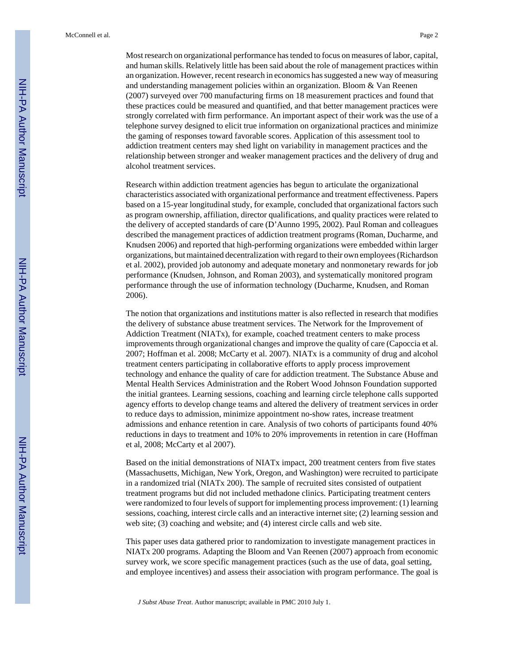Most research on organizational performance has tended to focus on measures of labor, capital, and human skills. Relatively little has been said about the role of management practices within an organization. However, recent research in economics has suggested a new way of measuring and understanding management policies within an organization. Bloom & Van Reenen (2007) surveyed over 700 manufacturing firms on 18 measurement practices and found that these practices could be measured and quantified, and that better management practices were strongly correlated with firm performance. An important aspect of their work was the use of a telephone survey designed to elicit true information on organizational practices and minimize the gaming of responses toward favorable scores. Application of this assessment tool to addiction treatment centers may shed light on variability in management practices and the relationship between stronger and weaker management practices and the delivery of drug and alcohol treatment services.

Research within addiction treatment agencies has begun to articulate the organizational characteristics associated with organizational performance and treatment effectiveness. Papers based on a 15-year longitudinal study, for example, concluded that organizational factors such as program ownership, affiliation, director qualifications, and quality practices were related to the delivery of accepted standards of care (D'Aunno 1995, 2002). Paul Roman and colleagues described the management practices of addiction treatment programs (Roman, Ducharme, and Knudsen 2006) and reported that high-performing organizations were embedded within larger organizations, but maintained decentralization with regard to their own employees (Richardson et al. 2002), provided job autonomy and adequate monetary and nonmonetary rewards for job performance (Knudsen, Johnson, and Roman 2003), and systematically monitored program performance through the use of information technology (Ducharme, Knudsen, and Roman 2006).

The notion that organizations and institutions matter is also reflected in research that modifies the delivery of substance abuse treatment services. The Network for the Improvement of Addiction Treatment (NIATx), for example, coached treatment centers to make process improvements through organizational changes and improve the quality of care (Capoccia et al. 2007; Hoffman et al. 2008; McCarty et al. 2007). NIATx is a community of drug and alcohol treatment centers participating in collaborative efforts to apply process improvement technology and enhance the quality of care for addiction treatment. The Substance Abuse and Mental Health Services Administration and the Robert Wood Johnson Foundation supported the initial grantees. Learning sessions, coaching and learning circle telephone calls supported agency efforts to develop change teams and altered the delivery of treatment services in order to reduce days to admission, minimize appointment no-show rates, increase treatment admissions and enhance retention in care. Analysis of two cohorts of participants found 40% reductions in days to treatment and 10% to 20% improvements in retention in care (Hoffman et al, 2008; McCarty et al 2007).

Based on the initial demonstrations of NIATx impact, 200 treatment centers from five states (Massachusetts, Michigan, New York, Oregon, and Washington) were recruited to participate in a randomized trial (NIATx 200). The sample of recruited sites consisted of outpatient treatment programs but did not included methadone clinics. Participating treatment centers were randomized to four levels of support for implementing process improvement: (1) learning sessions, coaching, interest circle calls and an interactive internet site; (2) learning session and web site; (3) coaching and website; and (4) interest circle calls and web site.

This paper uses data gathered prior to randomization to investigate management practices in NIATx 200 programs. Adapting the Bloom and Van Reenen (2007) approach from economic survey work, we score specific management practices (such as the use of data, goal setting, and employee incentives) and assess their association with program performance. The goal is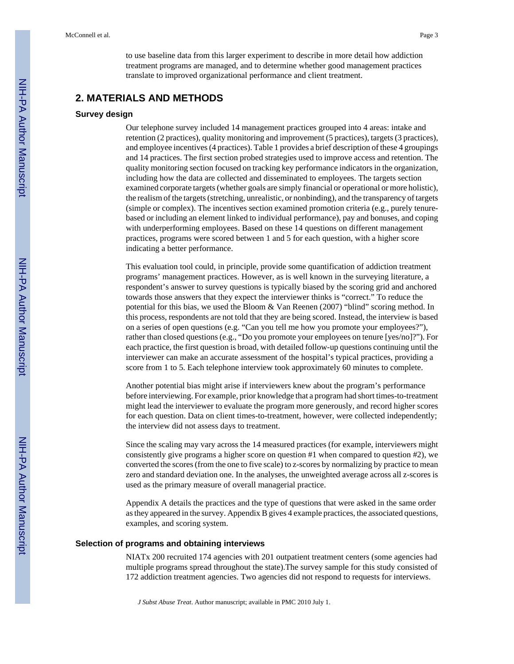to use baseline data from this larger experiment to describe in more detail how addiction treatment programs are managed, and to determine whether good management practices translate to improved organizational performance and client treatment.

## **2. MATERIALS AND METHODS**

#### **Survey design**

Our telephone survey included 14 management practices grouped into 4 areas: intake and retention (2 practices), quality monitoring and improvement (5 practices), targets (3 practices), and employee incentives (4 practices). Table 1 provides a brief description of these 4 groupings and 14 practices. The first section probed strategies used to improve access and retention. The quality monitoring section focused on tracking key performance indicators in the organization, including how the data are collected and disseminated to employees. The targets section examined corporate targets (whether goals are simply financial or operational or more holistic), the realism of the targets (stretching, unrealistic, or nonbinding), and the transparency of targets (simple or complex). The incentives section examined promotion criteria (e.g., purely tenurebased or including an element linked to individual performance), pay and bonuses, and coping with underperforming employees. Based on these 14 questions on different management practices, programs were scored between 1 and 5 for each question, with a higher score indicating a better performance.

This evaluation tool could, in principle, provide some quantification of addiction treatment programs' management practices. However, as is well known in the surveying literature, a respondent's answer to survey questions is typically biased by the scoring grid and anchored towards those answers that they expect the interviewer thinks is "correct." To reduce the potential for this bias, we used the Bloom & Van Reenen (2007) "blind" scoring method. In this process, respondents are not told that they are being scored. Instead, the interview is based on a series of open questions (e.g. "Can you tell me how you promote your employees?"), rather than closed questions (e.g., "Do you promote your employees on tenure [yes/no]?"). For each practice, the first question is broad, with detailed follow-up questions continuing until the interviewer can make an accurate assessment of the hospital's typical practices, providing a score from 1 to 5. Each telephone interview took approximately 60 minutes to complete.

Another potential bias might arise if interviewers knew about the program's performance before interviewing. For example, prior knowledge that a program had short times-to-treatment might lead the interviewer to evaluate the program more generously, and record higher scores for each question. Data on client times-to-treatment, however, were collected independently; the interview did not assess days to treatment.

Since the scaling may vary across the 14 measured practices (for example, interviewers might consistently give programs a higher score on question #1 when compared to question #2), we converted the scores (from the one to five scale) to z-scores by normalizing by practice to mean zero and standard deviation one. In the analyses, the unweighted average across all z-scores is used as the primary measure of overall managerial practice.

Appendix A details the practices and the type of questions that were asked in the same order as they appeared in the survey. Appendix B gives 4 example practices, the associated questions, examples, and scoring system.

#### **Selection of programs and obtaining interviews**

NIATx 200 recruited 174 agencies with 201 outpatient treatment centers (some agencies had multiple programs spread throughout the state).The survey sample for this study consisted of 172 addiction treatment agencies. Two agencies did not respond to requests for interviews.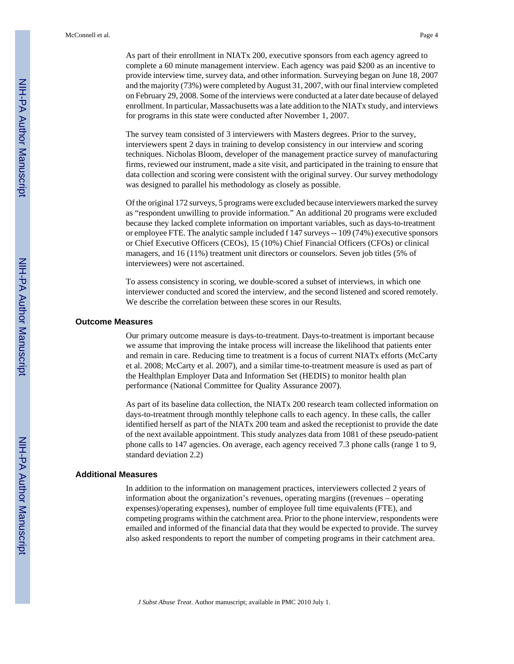As part of their enrollment in NIATx 200, executive sponsors from each agency agreed to complete a 60 minute management interview. Each agency was paid \$200 as an incentive to provide interview time, survey data, and other information. Surveying began on June 18, 2007 and the majority (73%) were completed by August 31, 2007, with our final interview completed on February 29, 2008. Some of the interviews were conducted at a later date because of delayed enrollment. In particular, Massachusetts was a late addition to the NIATx study, and interviews for programs in this state were conducted after November 1, 2007.

The survey team consisted of 3 interviewers with Masters degrees. Prior to the survey, interviewers spent 2 days in training to develop consistency in our interview and scoring techniques. Nicholas Bloom, developer of the management practice survey of manufacturing firms, reviewed our instrument, made a site visit, and participated in the training to ensure that data collection and scoring were consistent with the original survey. Our survey methodology was designed to parallel his methodology as closely as possible.

Of the original 172 surveys, 5 programs were excluded because interviewers marked the survey as "respondent unwilling to provide information." An additional 20 programs were excluded because they lacked complete information on important variables, such as days-to-treatment or employee FTE. The analytic sample included f 147 surveys -- 109 (74%) executive sponsors or Chief Executive Officers (CEOs), 15 (10%) Chief Financial Officers (CFOs) or clinical managers, and 16 (11%) treatment unit directors or counselors. Seven job titles (5% of interviewees) were not ascertained.

To assess consistency in scoring, we double-scored a subset of interviews, in which one interviewer conducted and scored the interview, and the second listened and scored remotely. We describe the correlation between these scores in our Results.

#### **Outcome Measures**

Our primary outcome measure is days-to-treatment. Days-to-treatment is important because we assume that improving the intake process will increase the likelihood that patients enter and remain in care. Reducing time to treatment is a focus of current NIATx efforts (McCarty et al. 2008; McCarty et al. 2007), and a similar time-to-treatment measure is used as part of the Healthplan Employer Data and Information Set (HEDIS) to monitor health plan performance (National Committee for Quality Assurance 2007).

As part of its baseline data collection, the NIATx 200 research team collected information on days-to-treatment through monthly telephone calls to each agency. In these calls, the caller identified herself as part of the NIATx 200 team and asked the receptionist to provide the date of the next available appointment. This study analyzes data from 1081 of these pseudo-patient phone calls to 147 agencies. On average, each agency received 7.3 phone calls (range 1 to 9, standard deviation 2.2)

#### **Additional Measures**

In addition to the information on management practices, interviewers collected 2 years of information about the organization's revenues, operating margins ((revenues – operating expenses)/operating expenses), number of employee full time equivalents (FTE), and competing programs within the catchment area. Prior to the phone interview, respondents were emailed and informed of the financial data that they would be expected to provide. The survey also asked respondents to report the number of competing programs in their catchment area.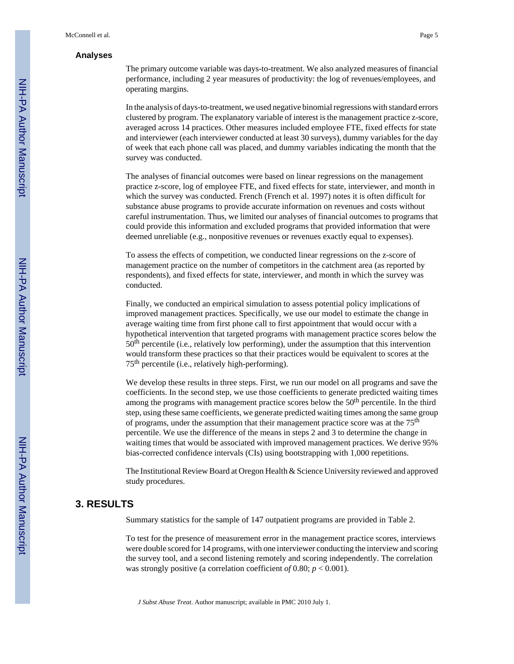#### **Analyses**

The primary outcome variable was days-to-treatment. We also analyzed measures of financial performance, including 2 year measures of productivity: the log of revenues/employees, and operating margins.

In the analysis of days-to-treatment, we used negative binomial regressions with standard errors clustered by program. The explanatory variable of interest is the management practice z-score, averaged across 14 practices. Other measures included employee FTE, fixed effects for state and interviewer (each interviewer conducted at least 30 surveys), dummy variables for the day of week that each phone call was placed, and dummy variables indicating the month that the survey was conducted.

The analyses of financial outcomes were based on linear regressions on the management practice z-score, log of employee FTE, and fixed effects for state, interviewer, and month in which the survey was conducted. French (French et al. 1997) notes it is often difficult for substance abuse programs to provide accurate information on revenues and costs without careful instrumentation. Thus, we limited our analyses of financial outcomes to programs that could provide this information and excluded programs that provided information that were deemed unreliable (e.g., nonpositive revenues or revenues exactly equal to expenses).

To assess the effects of competition, we conducted linear regressions on the z-score of management practice on the number of competitors in the catchment area (as reported by respondents), and fixed effects for state, interviewer, and month in which the survey was conducted.

Finally, we conducted an empirical simulation to assess potential policy implications of improved management practices. Specifically, we use our model to estimate the change in average waiting time from first phone call to first appointment that would occur with a hypothetical intervention that targeted programs with management practice scores below the 50<sup>th</sup> percentile (i.e., relatively low performing), under the assumption that this intervention would transform these practices so that their practices would be equivalent to scores at the 75th percentile (i.e., relatively high-performing).

We develop these results in three steps. First, we run our model on all programs and save the coefficients. In the second step, we use those coefficients to generate predicted waiting times among the programs with management practice scores below the 50<sup>th</sup> percentile. In the third step, using these same coefficients, we generate predicted waiting times among the same group of programs, under the assumption that their management practice score was at the 75th percentile. We use the difference of the means in steps 2 and 3 to determine the change in waiting times that would be associated with improved management practices. We derive 95% bias-corrected confidence intervals (CIs) using bootstrapping with 1,000 repetitions.

The Institutional Review Board at Oregon Health & Science University reviewed and approved study procedures.

## **3. RESULTS**

Summary statistics for the sample of 147 outpatient programs are provided in Table 2.

To test for the presence of measurement error in the management practice scores, interviews were double scored for 14 programs, with one interviewer conducting the interview and scoring the survey tool, and a second listening remotely and scoring independently. The correlation was strongly positive (a correlation coefficient *of* 0.80; *p* < 0.001).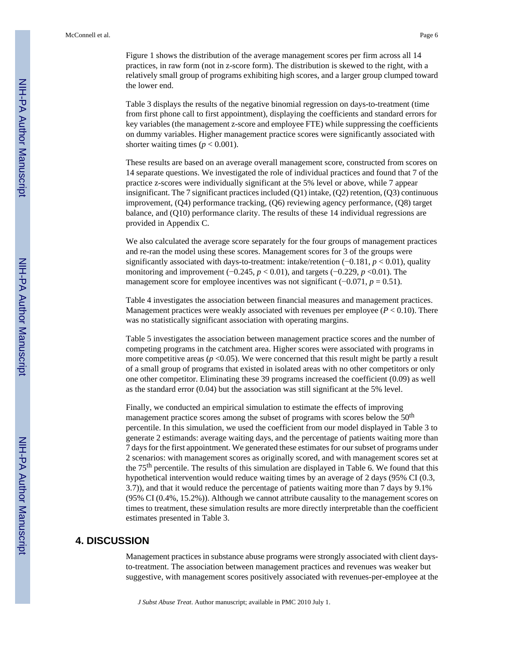Figure 1 shows the distribution of the average management scores per firm across all 14 practices, in raw form (not in z-score form). The distribution is skewed to the right, with a relatively small group of programs exhibiting high scores, and a larger group clumped toward the lower end.

Table 3 displays the results of the negative binomial regression on days-to-treatment (time from first phone call to first appointment), displaying the coefficients and standard errors for key variables (the management z-score and employee FTE) while suppressing the coefficients on dummy variables. Higher management practice scores were significantly associated with shorter waiting times ( $p < 0.001$ ).

These results are based on an average overall management score, constructed from scores on 14 separate questions. We investigated the role of individual practices and found that 7 of the practice z-scores were individually significant at the 5% level or above, while 7 appear insignificant. The 7 significant practices included (Q1) intake, (Q2) retention, (Q3) continuous improvement, (Q4) performance tracking, (Q6) reviewing agency performance, (Q8) target balance, and (Q10) performance clarity. The results of these 14 individual regressions are provided in Appendix C.

We also calculated the average score separately for the four groups of management practices and re-ran the model using these scores. Management scores for 3 of the groups were significantly associated with days-to-treatment: intake/retention (−0.181, *p* < 0.01), quality monitoring and improvement (−0.245, *p* < 0.01), and targets (−0.229, *p* <0.01). The management score for employee incentives was not significant  $(-0.071, p = 0.51)$ .

Table 4 investigates the association between financial measures and management practices. Management practices were weakly associated with revenues per employee  $(P < 0.10)$ . There was no statistically significant association with operating margins.

Table 5 investigates the association between management practice scores and the number of competing programs in the catchment area. Higher scores were associated with programs in more competitive areas  $(p \le 0.05)$ . We were concerned that this result might be partly a result of a small group of programs that existed in isolated areas with no other competitors or only one other competitor. Eliminating these 39 programs increased the coefficient (0.09) as well as the standard error (0.04) but the association was still significant at the 5% level.

Finally, we conducted an empirical simulation to estimate the effects of improving management practice scores among the subset of programs with scores below the 50<sup>th</sup> percentile. In this simulation, we used the coefficient from our model displayed in Table 3 to generate 2 estimands: average waiting days, and the percentage of patients waiting more than 7 days for the first appointment. We generated these estimates for our subset of programs under 2 scenarios: with management scores as originally scored, and with management scores set at the 75th percentile. The results of this simulation are displayed in Table 6. We found that this hypothetical intervention would reduce waiting times by an average of 2 days (95% CI (0.3, 3.7)), and that it would reduce the percentage of patients waiting more than 7 days by 9.1% (95% CI (0.4%, 15.2%)). Although we cannot attribute causality to the management scores on times to treatment, these simulation results are more directly interpretable than the coefficient estimates presented in Table 3.

#### **4. DISCUSSION**

Management practices in substance abuse programs were strongly associated with client daysto-treatment. The association between management practices and revenues was weaker but suggestive, with management scores positively associated with revenues-per-employee at the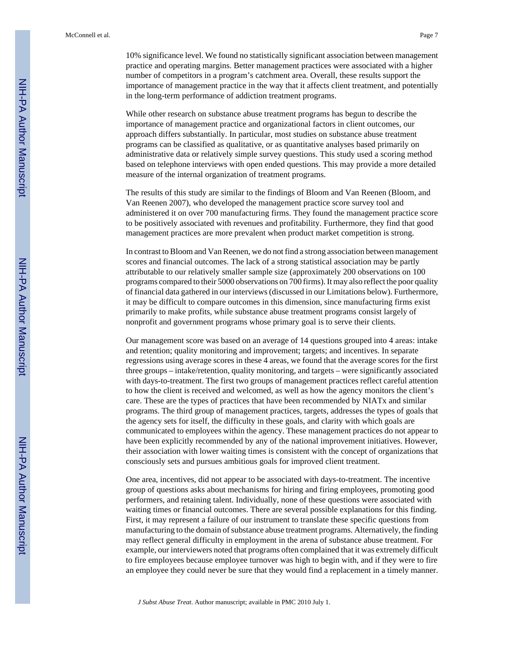10% significance level. We found no statistically significant association between management practice and operating margins. Better management practices were associated with a higher number of competitors in a program's catchment area. Overall, these results support the importance of management practice in the way that it affects client treatment, and potentially in the long-term performance of addiction treatment programs.

While other research on substance abuse treatment programs has begun to describe the importance of management practice and organizational factors in client outcomes, our approach differs substantially. In particular, most studies on substance abuse treatment programs can be classified as qualitative, or as quantitative analyses based primarily on administrative data or relatively simple survey questions. This study used a scoring method based on telephone interviews with open ended questions. This may provide a more detailed measure of the internal organization of treatment programs.

The results of this study are similar to the findings of Bloom and Van Reenen (Bloom, and Van Reenen 2007), who developed the management practice score survey tool and administered it on over 700 manufacturing firms. They found the management practice score to be positively associated with revenues and profitability. Furthermore, they find that good management practices are more prevalent when product market competition is strong.

In contrast to Bloom and Van Reenen, we do not find a strong association between management scores and financial outcomes. The lack of a strong statistical association may be partly attributable to our relatively smaller sample size (approximately 200 observations on 100 programs compared to their 5000 observations on 700 firms). It may also reflect the poor quality of financial data gathered in our interviews (discussed in our Limitations below). Furthermore, it may be difficult to compare outcomes in this dimension, since manufacturing firms exist primarily to make profits, while substance abuse treatment programs consist largely of nonprofit and government programs whose primary goal is to serve their clients.

Our management score was based on an average of 14 questions grouped into 4 areas: intake and retention; quality monitoring and improvement; targets; and incentives. In separate regressions using average scores in these 4 areas, we found that the average scores for the first three groups – intake/retention, quality monitoring, and targets – were significantly associated with days-to-treatment. The first two groups of management practices reflect careful attention to how the client is received and welcomed, as well as how the agency monitors the client's care. These are the types of practices that have been recommended by NIATx and similar programs. The third group of management practices, targets, addresses the types of goals that the agency sets for itself, the difficulty in these goals, and clarity with which goals are communicated to employees within the agency. These management practices do not appear to have been explicitly recommended by any of the national improvement initiatives. However, their association with lower waiting times is consistent with the concept of organizations that consciously sets and pursues ambitious goals for improved client treatment.

One area, incentives, did not appear to be associated with days-to-treatment. The incentive group of questions asks about mechanisms for hiring and firing employees, promoting good performers, and retaining talent. Individually, none of these questions were associated with waiting times or financial outcomes. There are several possible explanations for this finding. First, it may represent a failure of our instrument to translate these specific questions from manufacturing to the domain of substance abuse treatment programs. Alternatively, the finding may reflect general difficulty in employment in the arena of substance abuse treatment. For example, our interviewers noted that programs often complained that it was extremely difficult to fire employees because employee turnover was high to begin with, and if they were to fire an employee they could never be sure that they would find a replacement in a timely manner.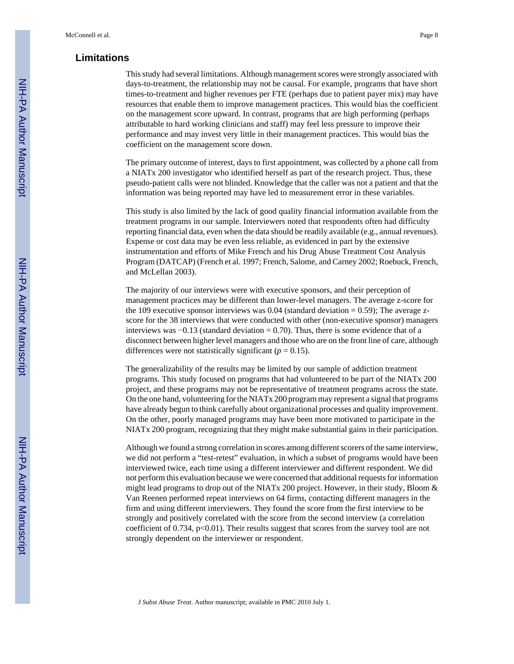## **Limitations**

This study had several limitations. Although management scores were strongly associated with days-to-treatment, the relationship may not be causal. For example, programs that have short times-to-treatment and higher revenues per FTE (perhaps due to patient payer mix) may have resources that enable them to improve management practices. This would bias the coefficient on the management score upward. In contrast, programs that are high performing (perhaps attributable to hard working clinicians and staff) may feel less pressure to improve their performance and may invest very little in their management practices. This would bias the coefficient on the management score down.

The primary outcome of interest, days to first appointment, was collected by a phone call from a NIATx 200 investigator who identified herself as part of the research project. Thus, these pseudo-patient calls were not blinded. Knowledge that the caller was not a patient and that the information was being reported may have led to measurement error in these variables.

This study is also limited by the lack of good quality financial information available from the treatment programs in our sample. Interviewers noted that respondents often had difficulty reporting financial data, even when the data should be readily available (e.g., annual revenues). Expense or cost data may be even less reliable, as evidenced in part by the extensive instrumentation and efforts of Mike French and his Drug Abuse Treatment Cost Analysis Program (DATCAP) (French et al. 1997; French, Salome, and Carney 2002; Roebuck, French, and McLellan 2003).

The majority of our interviews were with executive sponsors, and their perception of management practices may be different than lower-level managers. The average z-score for the 109 executive sponsor interviews was  $0.04$  (standard deviation = 0.59); The average zscore for the 38 interviews that were conducted with other (non-executive sponsor) managers interviews was  $-0.13$  (standard deviation = 0.70). Thus, there is some evidence that of a disconnect between higher level managers and those who are on the front line of care, although differences were not statistically significant ( $p = 0.15$ ).

The generalizability of the results may be limited by our sample of addiction treatment programs. This study focused on programs that had volunteered to be part of the NIATx 200 project, and these programs may not be representative of treatment programs across the state. On the one hand, volunteering for the NIATx 200 program may represent a signal that programs have already begun to think carefully about organizational processes and quality improvement. On the other, poorly managed programs may have been more motivated to participate in the NIATx 200 program, recognizing that they might make substantial gains in their participation.

Although we found a strong correlation in scores among different scorers of the same interview, we did not perform a "test-retest" evaluation, in which a subset of programs would have been interviewed twice, each time using a different interviewer and different respondent. We did not perform this evaluation because we were concerned that additional requests for information might lead programs to drop out of the NIATx 200 project. However, in their study, Bloom & Van Reenen performed repeat interviews on 64 firms, contacting different managers in the firm and using different interviewers. They found the score from the first interview to be strongly and positively correlated with the score from the second interview (a correlation coefficient of 0.734,  $p<0.01$ ). Their results suggest that scores from the survey tool are not strongly dependent on the interviewer or respondent.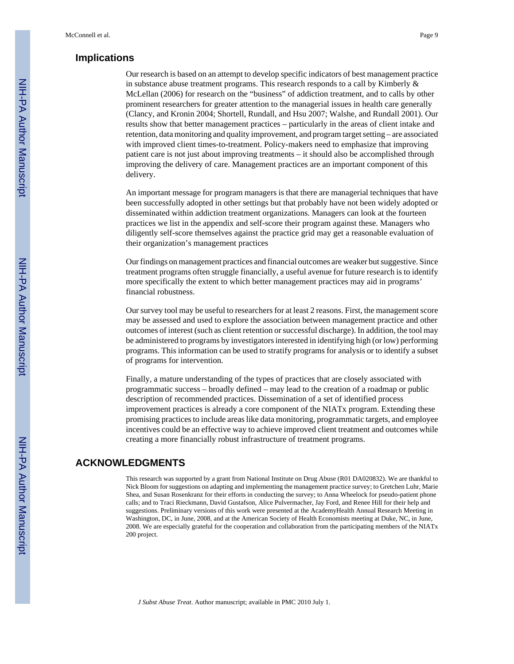## **Implications**

Our research is based on an attempt to develop specific indicators of best management practice in substance abuse treatment programs. This research responds to a call by Kimberly & McLellan (2006) for research on the "business" of addiction treatment, and to calls by other prominent researchers for greater attention to the managerial issues in health care generally (Clancy, and Kronin 2004; Shortell, Rundall, and Hsu 2007; Walshe, and Rundall 2001). Our results show that better management practices – particularly in the areas of client intake and retention, data monitoring and quality improvement, and program target setting – are associated with improved client times-to-treatment. Policy-makers need to emphasize that improving patient care is not just about improving treatments – it should also be accomplished through improving the delivery of care. Management practices are an important component of this delivery.

An important message for program managers is that there are managerial techniques that have been successfully adopted in other settings but that probably have not been widely adopted or disseminated within addiction treatment organizations. Managers can look at the fourteen practices we list in the appendix and self-score their program against these. Managers who diligently self-score themselves against the practice grid may get a reasonable evaluation of their organization's management practices

Our findings on management practices and financial outcomes are weaker but suggestive. Since treatment programs often struggle financially, a useful avenue for future research is to identify more specifically the extent to which better management practices may aid in programs' financial robustness.

Our survey tool may be useful to researchers for at least 2 reasons. First, the management score may be assessed and used to explore the association between management practice and other outcomes of interest (such as client retention or successful discharge). In addition, the tool may be administered to programs by investigators interested in identifying high (or low) performing programs. This information can be used to stratify programs for analysis or to identify a subset of programs for intervention.

Finally, a mature understanding of the types of practices that are closely associated with programmatic success – broadly defined – may lead to the creation of a roadmap or public description of recommended practices. Dissemination of a set of identified process improvement practices is already a core component of the NIATx program. Extending these promising practices to include areas like data monitoring, programmatic targets, and employee incentives could be an effective way to achieve improved client treatment and outcomes while creating a more financially robust infrastructure of treatment programs.

## **ACKNOWLEDGMENTS**

This research was supported by a grant from National Institute on Drug Abuse (R01 DA020832). We are thankful to Nick Bloom for suggestions on adapting and implementing the management practice survey; to Gretchen Luhr, Marie Shea, and Susan Rosenkranz for their efforts in conducting the survey; to Anna Wheelock for pseudo-patient phone calls; and to Traci Rieckmann, David Gustafson, Alice Pulvermacher, Jay Ford, and Renee Hill for their help and suggestions. Preliminary versions of this work were presented at the AcademyHealth Annual Research Meeting in Washington, DC, in June, 2008, and at the American Society of Health Economists meeting at Duke, NC, in June, 2008. We are especially grateful for the cooperation and collaboration from the participating members of the NIATx 200 project.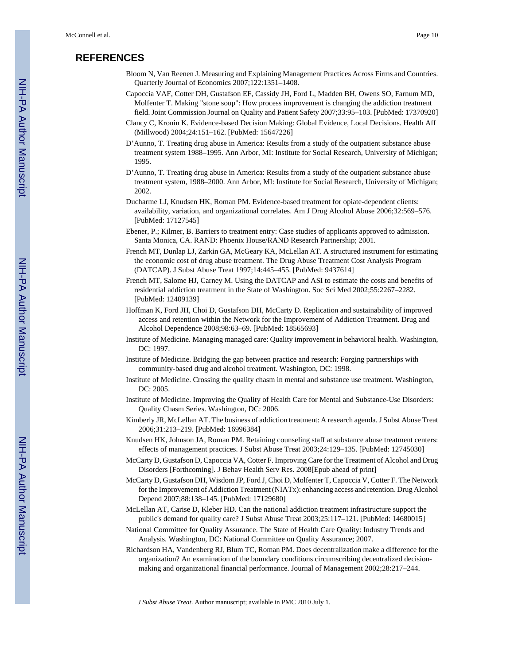## **REFERENCES**

- Bloom N, Van Reenen J. Measuring and Explaining Management Practices Across Firms and Countries. Quarterly Journal of Economics 2007;122:1351–1408.
- Capoccia VAF, Cotter DH, Gustafson EF, Cassidy JH, Ford L, Madden BH, Owens SO, Farnum MD, Molfenter T. Making "stone soup": How process improvement is changing the addiction treatment field. Joint Commission Journal on Quality and Patient Safety 2007;33:95–103. [PubMed: 17370920]
- Clancy C, Kronin K. Evidence-based Decision Making: Global Evidence, Local Decisions. Health Aff (Millwood) 2004;24:151–162. [PubMed: 15647226]
- D'Aunno, T. Treating drug abuse in America: Results from a study of the outpatient substance abuse treatment system 1988–1995. Ann Arbor, MI: Institute for Social Research, University of Michigan; 1995.
- D'Aunno, T. Treating drug abuse in America: Results from a study of the outpatient substance abuse treatment system, 1988–2000. Ann Arbor, MI: Institute for Social Research, University of Michigan; 2002.
- Ducharme LJ, Knudsen HK, Roman PM. Evidence-based treatment for opiate-dependent clients: availability, variation, and organizational correlates. Am J Drug Alcohol Abuse 2006;32:569–576. [PubMed: 17127545]
- Ebener, P.; Kilmer, B. Barriers to treatment entry: Case studies of applicants approved to admission. Santa Monica, CA. RAND: Phoenix House/RAND Research Partnership; 2001.
- French MT, Dunlap LJ, Zarkin GA, McGeary KA, McLellan AT. A structured instrument for estimating the economic cost of drug abuse treatment. The Drug Abuse Treatment Cost Analysis Program (DATCAP). J Subst Abuse Treat 1997;14:445–455. [PubMed: 9437614]
- French MT, Salome HJ, Carney M. Using the DATCAP and ASI to estimate the costs and benefits of residential addiction treatment in the State of Washington. Soc Sci Med 2002;55:2267–2282. [PubMed: 12409139]
- Hoffman K, Ford JH, Choi D, Gustafson DH, McCarty D. Replication and sustainability of improved access and retention within the Network for the Improvement of Addiction Treatment. Drug and Alcohol Dependence 2008;98:63–69. [PubMed: 18565693]
- Institute of Medicine. Managing managed care: Quality improvement in behavioral health. Washington, DC: 1997.
- Institute of Medicine. Bridging the gap between practice and research: Forging partnerships with community-based drug and alcohol treatment. Washington, DC: 1998.
- Institute of Medicine. Crossing the quality chasm in mental and substance use treatment. Washington, DC: 2005.
- Institute of Medicine. Improving the Quality of Health Care for Mental and Substance-Use Disorders: Quality Chasm Series. Washington, DC: 2006.
- Kimberly JR, McLellan AT. The business of addiction treatment: A research agenda. J Subst Abuse Treat 2006;31:213–219. [PubMed: 16996384]
- Knudsen HK, Johnson JA, Roman PM. Retaining counseling staff at substance abuse treatment centers: effects of management practices. J Subst Abuse Treat 2003;24:129–135. [PubMed: 12745030]
- McCarty D, Gustafson D, Capoccia VA, Cotter F. Improving Care for the Treatment of Alcohol and Drug Disorders [Forthcoming]. J Behav Health Serv Res. 2008[Epub ahead of print]
- McCarty D, Gustafson DH, Wisdom JP, Ford J, Choi D, Molfenter T, Capoccia V, Cotter F. The Network for the Improvement of Addiction Treatment (NIATx): enhancing access and retention. Drug Alcohol Depend 2007;88:138–145. [PubMed: 17129680]
- McLellan AT, Carise D, Kleber HD. Can the national addiction treatment infrastructure support the public's demand for quality care? J Subst Abuse Treat 2003;25:117–121. [PubMed: 14680015]
- National Committee for Quality Assurance. The State of Health Care Quality: Industry Trends and Analysis. Washington, DC: National Committee on Quality Assurance; 2007.
- Richardson HA, Vandenberg RJ, Blum TC, Roman PM. Does decentralization make a difference for the organization? An examination of the boundary conditions circumscribing decentralized decisionmaking and organizational financial performance. Journal of Management 2002;28:217–244.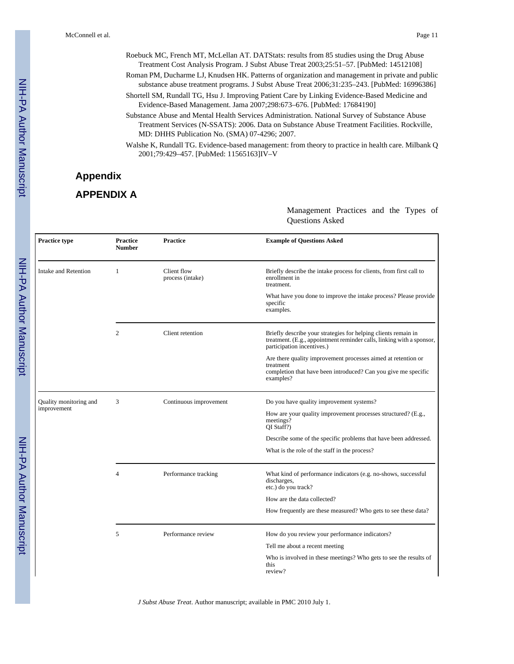- Roebuck MC, French MT, McLellan AT. DATStats: results from 85 studies using the Drug Abuse Treatment Cost Analysis Program. J Subst Abuse Treat 2003;25:51–57. [PubMed: 14512108]
- Roman PM, Ducharme LJ, Knudsen HK. Patterns of organization and management in private and public substance abuse treatment programs. J Subst Abuse Treat 2006;31:235–243. [PubMed: 16996386]
- Shortell SM, Rundall TG, Hsu J. Improving Patient Care by Linking Evidence-Based Medicine and Evidence-Based Management. Jama 2007;298:673–676. [PubMed: 17684190]
- Substance Abuse and Mental Health Services Administration. National Survey of Substance Abuse Treatment Services (N-SSATS): 2006. Data on Substance Abuse Treatment Facilities. Rockville, MD: DHHS Publication No. (SMA) 07-4296; 2007.
- Walshe K, Rundall TG. Evidence-based management: from theory to practice in health care. Milbank Q 2001;79:429–457. [PubMed: 11565163]IV–V

# **Appendix APPENDIX A**

Management Practices and the Types of Questions Asked

| Practice type               | <b>Practice</b><br><b>Number</b> | <b>Practice</b>                 | <b>Example of Questions Asked</b>                                                                                                                                     |
|-----------------------------|----------------------------------|---------------------------------|-----------------------------------------------------------------------------------------------------------------------------------------------------------------------|
| <b>Intake and Retention</b> | $\mathbf{1}$                     | Client flow<br>process (intake) | Briefly describe the intake process for clients, from first call to<br>enrollment in<br>treatment.                                                                    |
|                             |                                  |                                 | What have you done to improve the intake process? Please provide<br>specific<br>examples.                                                                             |
|                             | $\mathfrak{2}$                   | Client retention                | Briefly describe your strategies for helping clients remain in<br>treatment. (E.g., appointment reminder calls, linking with a sponsor,<br>participation incentives.) |
|                             |                                  |                                 | Are there quality improvement processes aimed at retention or<br>treatment<br>completion that have been introduced? Can you give me specific<br>examples?             |
| Quality monitoring and      | 3                                | Continuous improvement          | Do you have quality improvement systems?                                                                                                                              |
| improvement                 |                                  |                                 | How are your quality improvement processes structured? (E.g.,<br>meetings?<br>QI Staff?)                                                                              |
|                             |                                  |                                 | Describe some of the specific problems that have been addressed.                                                                                                      |
|                             |                                  |                                 | What is the role of the staff in the process?                                                                                                                         |
|                             | 4                                | Performance tracking            | What kind of performance indicators (e.g. no-shows, successful<br>discharges,<br>etc.) do you track?                                                                  |
|                             |                                  |                                 | How are the data collected?                                                                                                                                           |
|                             |                                  |                                 | How frequently are these measured? Who gets to see these data?                                                                                                        |
|                             | 5                                | Performance review              | How do you review your performance indicators?                                                                                                                        |
|                             |                                  |                                 | Tell me about a recent meeting                                                                                                                                        |
|                             |                                  |                                 | Who is involved in these meetings? Who gets to see the results of<br>this<br>review?                                                                                  |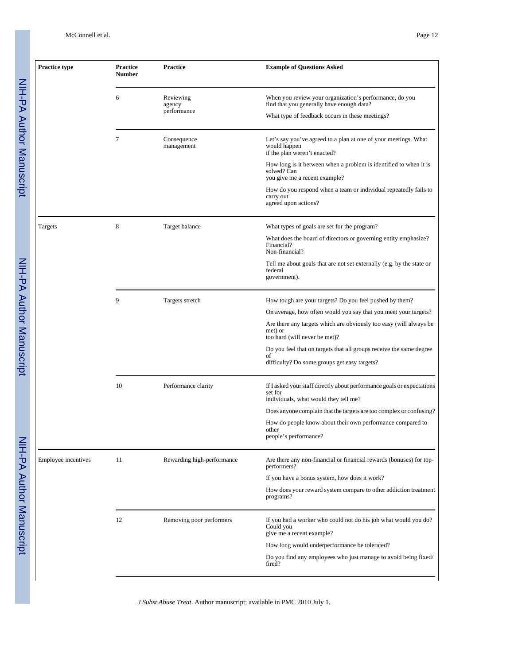NIH-PA Author Manuscript

NIH-PA Author Manuscript

NIH-PA Author Manuscript

NIH-PA Author Manuscript

NIH-PA Author Manuscript

NIH-PA Author Manuscript

| Practice type       | <b>Practice</b><br><b>Number</b> | <b>Practice</b>            | <b>Example of Questions Asked</b>                                                                                          |
|---------------------|----------------------------------|----------------------------|----------------------------------------------------------------------------------------------------------------------------|
|                     | 6                                | Reviewing<br>agency        | When you review your organization's performance, do you<br>find that you generally have enough data?                       |
|                     |                                  | performance                | What type of feedback occurs in these meetings?                                                                            |
|                     | 7                                | Consequence<br>management  | Let's say you've agreed to a plan at one of your meetings. What<br>would happen<br>if the plan weren't enacted?            |
|                     |                                  |                            | How long is it between when a problem is identified to when it is<br>solved? Can<br>you give me a recent example?          |
|                     |                                  |                            | How do you respond when a team or individual repeatedly fails to<br>carry out<br>agreed upon actions?                      |
| Targets             | 8                                | Target balance             | What types of goals are set for the program?                                                                               |
|                     |                                  |                            | What does the board of directors or governing entity emphasize?<br>Financial?<br>Non-financial?                            |
|                     |                                  |                            | Tell me about goals that are not set externally (e.g. by the state or<br>federal<br>government).                           |
|                     | 9                                | Targets stretch            | How tough are your targets? Do you feel pushed by them?                                                                    |
|                     |                                  |                            | On average, how often would you say that you meet your targets?                                                            |
|                     |                                  |                            | Are there any targets which are obviously too easy (will always be<br>met) or<br>too hard (will never be met)?             |
|                     |                                  |                            | Do you feel that on targets that all groups receive the same degree<br>οf<br>difficulty? Do some groups get easy targets?  |
|                     | 10                               | Performance clarity        | If I asked your staff directly about performance goals or expectations<br>set for<br>individuals, what would they tell me? |
|                     |                                  |                            | Does anyone complain that the targets are too complex or confusing?                                                        |
|                     |                                  |                            | How do people know about their own performance compared to<br>other<br>people's performance?                               |
| Employee incentives | 11                               | Rewarding high-performance | Are there any non-financial or financial rewards (bonuses) for top-<br>performers?                                         |
|                     |                                  |                            | If you have a bonus system, how does it work?                                                                              |
|                     |                                  |                            | How does your reward system compare to other addiction treatment<br>programs?                                              |
|                     | 12                               | Removing poor performers   | If you had a worker who could not do his job what would you do?<br>Could you<br>give me a recent example?                  |
|                     |                                  |                            | How long would underperformance be tolerated?                                                                              |
|                     |                                  |                            | Do you find any employees who just manage to avoid being fixed/<br>fired?                                                  |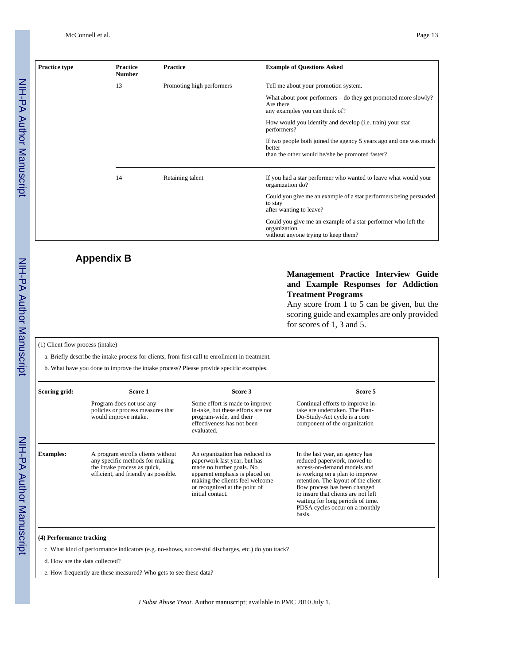| <b>Practice type</b> | <b>Practice</b><br><b>Number</b> | <b>Practice</b>           | <b>Example of Questions Asked</b>                                                                                              |
|----------------------|----------------------------------|---------------------------|--------------------------------------------------------------------------------------------------------------------------------|
|                      | 13                               | Promoting high performers | Tell me about your promotion system.                                                                                           |
|                      |                                  |                           | What about poor performers – do they get promoted more slowly?<br>Are there<br>any examples you can think of?                  |
|                      |                                  |                           | How would you identify and develop (i.e. train) your star<br>performers?                                                       |
|                      |                                  |                           | If two people both joined the agency 5 years ago and one was much<br>better<br>than the other would he/she be promoted faster? |
|                      | 14                               | Retaining talent          | If you had a star performer who wanted to leave what would your<br>organization do?                                            |
|                      |                                  |                           | Could you give me an example of a star performers being persuaded<br>to stay<br>after wanting to leave?                        |
|                      |                                  |                           | Could you give me an example of a star performer who left the<br>organization<br>without anyone trying to keep them?           |

## **Appendix B**

#### **Management Practice Interview Guide and Example Responses for Addiction Treatment Programs**

Any score from 1 to 5 can be given, but the scoring guide and examples are only provided for scores of 1, 3 and 5.

#### (1) Client flow process (intake)

a. Briefly describe the intake process for clients, from first call to enrollment in treatment.

b. What have you done to improve the intake process? Please provide specific examples.

| Scoring grid:    | Score 1                                                                                                                                      | Score 3                                                                                                                                                                                                                | Score 5                                                                                                                                                                                                                                                                                                                          |
|------------------|----------------------------------------------------------------------------------------------------------------------------------------------|------------------------------------------------------------------------------------------------------------------------------------------------------------------------------------------------------------------------|----------------------------------------------------------------------------------------------------------------------------------------------------------------------------------------------------------------------------------------------------------------------------------------------------------------------------------|
|                  | Program does not use any<br>policies or process measures that<br>would improve intake.                                                       | Some effort is made to improve<br>in-take, but these efforts are not<br>program-wide, and their<br>effectiveness has not been<br>evaluated.                                                                            | Continual efforts to improve in-<br>take are undertaken. The Plan-<br>Do-Study-Act cycle is a core<br>component of the organization                                                                                                                                                                                              |
| <b>Examples:</b> | A program enrolls clients without<br>any specific methods for making<br>the intake process as quick,<br>efficient, and friendly as possible. | An organization has reduced its<br>paperwork last year, but has<br>made no further goals. No<br>apparent emphasis is placed on<br>making the clients feel welcome<br>or recognized at the point of<br>initial contact. | In the last year, an agency has<br>reduced paperwork, moved to<br>access-on-demand models and<br>is working on a plan to improve<br>retention. The layout of the client<br>flow process has been changed<br>to insure that clients are not left<br>waiting for long periods of time.<br>PDSA cycles occur on a monthly<br>basis. |

#### **(4) Performance tracking**

c. What kind of performance indicators (e.g. no-shows, successful discharges, etc.) do you track?

d. How are the data collected?

e. How frequently are these measured? Who gets to see these data?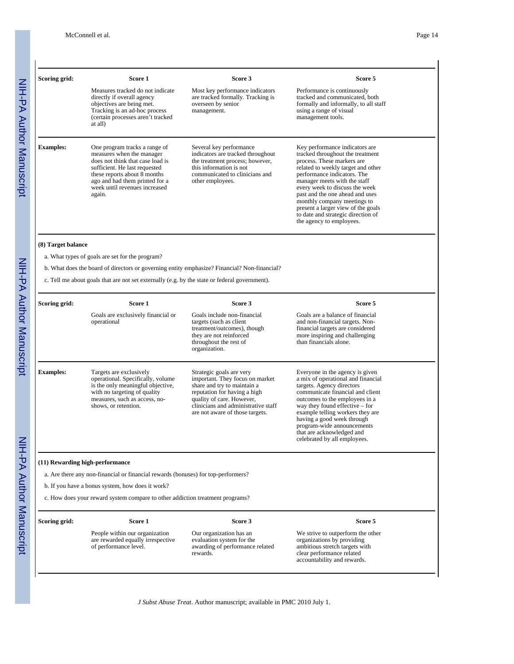NIH-PA Author Manuscript

NIH-PA Author Manuscript

NIH-PA Author Manuscript

NIH-PA Author Manuscript

NIH-PA Author Manuscript

NIH-PA Author Manuscript

| Scoring grid:      | Score 1                                                                                                                                                                                                                                      | Score 3                                                                                                                                                                                                                           | Score 5                                                                                                                                                                                                                                                                                                                                                                                                           |
|--------------------|----------------------------------------------------------------------------------------------------------------------------------------------------------------------------------------------------------------------------------------------|-----------------------------------------------------------------------------------------------------------------------------------------------------------------------------------------------------------------------------------|-------------------------------------------------------------------------------------------------------------------------------------------------------------------------------------------------------------------------------------------------------------------------------------------------------------------------------------------------------------------------------------------------------------------|
|                    | Measures tracked do not indicate<br>directly if overall agency<br>objectives are being met.<br>Tracking is an ad-hoc process<br>(certain processes aren't tracked<br>at all)                                                                 | Most key performance indicators<br>are tracked formally. Tracking is<br>overseen by senior<br>management.                                                                                                                         | Performance is continuously<br>tracked and communicated, both<br>formally and informally, to all staff<br>using a range of visual<br>management tools.                                                                                                                                                                                                                                                            |
| <b>Examples:</b>   | One program tracks a range of<br>measures when the manager<br>does not think that case load is<br>sufficient. He last requested<br>these reports about 8 months<br>ago and had them printed for a<br>week until revenues increased<br>again. | Several key performance<br>indicators are tracked throughout<br>the treatment process; however,<br>this information is not<br>communicated to clinicians and<br>other employees.                                                  | Key performance indicators are<br>tracked throughout the treatment<br>process. These markers are<br>related to weekly target and other<br>performance indicators. The<br>manager meets with the staff<br>every week to discuss the week<br>past and the one ahead and uses<br>monthly company meetings to<br>present a larger view of the goals<br>to date and strategic direction of<br>the agency to employees. |
| (8) Target balance |                                                                                                                                                                                                                                              |                                                                                                                                                                                                                                   |                                                                                                                                                                                                                                                                                                                                                                                                                   |
|                    | a. What types of goals are set for the program?                                                                                                                                                                                              |                                                                                                                                                                                                                                   |                                                                                                                                                                                                                                                                                                                                                                                                                   |
|                    | b. What does the board of directors or governing entity emphasize? Financial? Non-financial?                                                                                                                                                 |                                                                                                                                                                                                                                   |                                                                                                                                                                                                                                                                                                                                                                                                                   |
|                    | c. Tell me about goals that are not set externally (e.g. by the state or federal government).                                                                                                                                                |                                                                                                                                                                                                                                   |                                                                                                                                                                                                                                                                                                                                                                                                                   |
| Scoring grid:      | Score 1                                                                                                                                                                                                                                      | Score 3                                                                                                                                                                                                                           | Score 5                                                                                                                                                                                                                                                                                                                                                                                                           |
|                    | Goals are exclusively financial or<br>operational                                                                                                                                                                                            | Goals include non-financial<br>targets (such as client<br>treatment/outcomes), though<br>they are not reinforced<br>throughout the rest of<br>organization.                                                                       | Goals are a balance of financial<br>and non-financial targets. Non-<br>financial targets are considered<br>more inspiring and challenging<br>than financials alone.                                                                                                                                                                                                                                               |
| <b>Examples:</b>   | Targets are exclusively<br>operational. Specifically, volume<br>is the only meaningful objective,<br>with no targeting of quality<br>measures, such as access, no-<br>shows, or retention.                                                   | Strategic goals are very<br>important. They focus on market<br>share and try to maintain a<br>reputation for having a high<br>quality of care. However,<br>clinicians and administrative staff<br>are not aware of those targets. | Everyone in the agency is given<br>a mix of operational and financial<br>targets. Agency directors<br>communicate financial and client<br>outcomes to the employees in a<br>way they found effective – for<br>example telling workers they are<br>having a good week through<br>program-wide announcements<br>that are acknowledged and<br>celebrated by all employees.                                           |
|                    | (11) Rewarding high-performance                                                                                                                                                                                                              |                                                                                                                                                                                                                                   |                                                                                                                                                                                                                                                                                                                                                                                                                   |
|                    | a. Are there any non-financial or financial rewards (bonuses) for top-performers?                                                                                                                                                            |                                                                                                                                                                                                                                   |                                                                                                                                                                                                                                                                                                                                                                                                                   |
|                    | b. If you have a bonus system, how does it work?                                                                                                                                                                                             |                                                                                                                                                                                                                                   |                                                                                                                                                                                                                                                                                                                                                                                                                   |
|                    | c. How does your reward system compare to other addiction treatment programs?                                                                                                                                                                |                                                                                                                                                                                                                                   |                                                                                                                                                                                                                                                                                                                                                                                                                   |
| Scoring grid:      | Score 1                                                                                                                                                                                                                                      | Score 3                                                                                                                                                                                                                           | Score 5                                                                                                                                                                                                                                                                                                                                                                                                           |
|                    | People within our organization                                                                                                                                                                                                               | Our organization has an                                                                                                                                                                                                           | We strive to outperform the other<br>organizations by providing                                                                                                                                                                                                                                                                                                                                                   |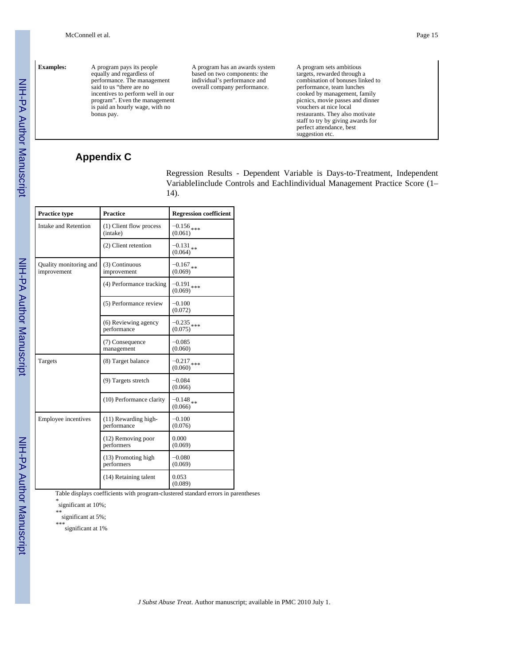NIH-PA Author Manuscript NIH-PA Author Manuscript

**Examples:** A program pays its people equally and regardless of performance. The management said to us "there are no incentives to perform well in our program". Even the management is paid an hourly wage, with no bonus pay.

A program has an awards system based on two components: the individual's performance and overall company performance.

A program sets ambitious targets, rewarded through a combination of bonuses linked to performance, team lunches cooked by management, family picnics, movie passes and dinner vouchers at nice local restaurants. They also motivate staff to try by giving awards for perfect attendance, best suggestion etc.

## **Appendix C**

Regression Results - Dependent Variable is Days-to-Treatment, Independent VariableIinclude Controls and EachIindividual Management Practice Score (1– 14).

| Practice type                         | <b>Practice</b>                     | <b>Regression coefficient</b>      |
|---------------------------------------|-------------------------------------|------------------------------------|
| Intake and Retention                  | (1) Client flow process<br>(intake) | $-0.156$ ***<br>(0.061)            |
|                                       | (2) Client retention                | $-0.131$ **<br>(0.064)             |
| Quality monitoring and<br>improvement | (3) Continuous<br>improvement       | $-0.167$ **<br>(0.069)             |
|                                       | (4) Performance tracking            | $-0.191$ <sub>***</sub><br>(0.069) |
|                                       | (5) Performance review              | $-0.100$<br>(0.072)                |
|                                       | (6) Reviewing agency<br>performance | $-0.235$ ***<br>(0.075)            |
|                                       | (7) Consequence<br>management       | $-0.085$<br>(0.060)                |
| Targets                               | (8) Target balance                  | $-0.217$ ***<br>(0.060)            |
|                                       | (9) Targets stretch                 | $-0.084$<br>(0.066)                |
|                                       | (10) Performance clarity            | $-0.148$ **<br>(0.066)             |
| <b>Employee incentives</b>            | (11) Rewarding high-<br>performance | $-0.100$<br>(0.076)                |
|                                       | (12) Removing poor<br>performers    | 0.000<br>(0.069)                   |
|                                       | (13) Promoting high<br>performers   | $-0.080$<br>(0.069)                |
|                                       | (14) Retaining talent               | 0.053<br>(0.089)                   |

Table displays coefficients with program-clustered standard errors in parentheses

*\** significant at 10%;

*\*\**significant at 5%;

*\*\*\**significant at 1%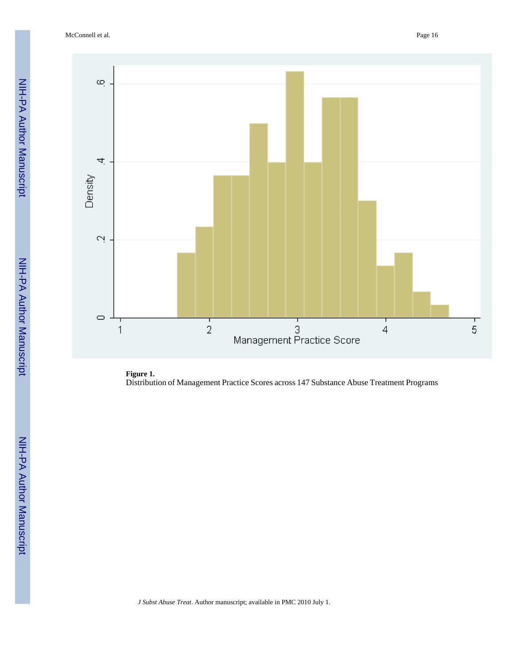McConnell et al. Page 16



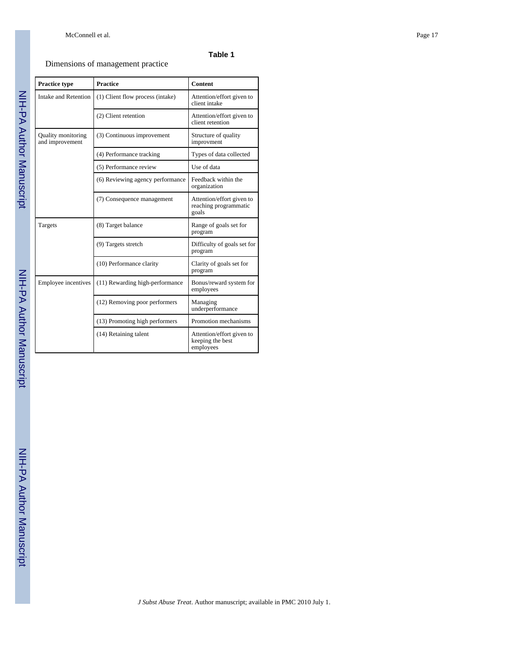Dimensions of management practice

| <b>Practice type</b>                  | <b>Practice</b>                  | <b>Content</b>                                              |
|---------------------------------------|----------------------------------|-------------------------------------------------------------|
| Intake and Retention                  | (1) Client flow process (intake) | Attention/effort given to<br>client intake                  |
|                                       | (2) Client retention             | Attention/effort given to<br>client retention               |
| Quality monitoring<br>and improvement | (3) Continuous improvement       | Structure of quality<br>improvment                          |
|                                       | (4) Performance tracking         | Types of data collected                                     |
|                                       | (5) Performance review           | Use of data                                                 |
|                                       | (6) Reviewing agency performance | Feedback within the<br>organization                         |
|                                       | (7) Consequence management       | Attention/effort given to<br>reaching programmatic<br>goals |
| Targets                               | (8) Target balance               | Range of goals set for<br>program                           |
|                                       | (9) Targets stretch              | Difficulty of goals set for<br>program                      |
|                                       | (10) Performance clarity         | Clarity of goals set for<br>program                         |
| Employee incentives                   | (11) Rewarding high-performance  | Bonus/reward system for<br>employees                        |
|                                       | (12) Removing poor performers    | Managing<br>underperformance                                |
|                                       | (13) Promoting high performers   | Promotion mechanisms                                        |
|                                       | (14) Retaining talent            | Attention/effort given to<br>keeping the best<br>employees  |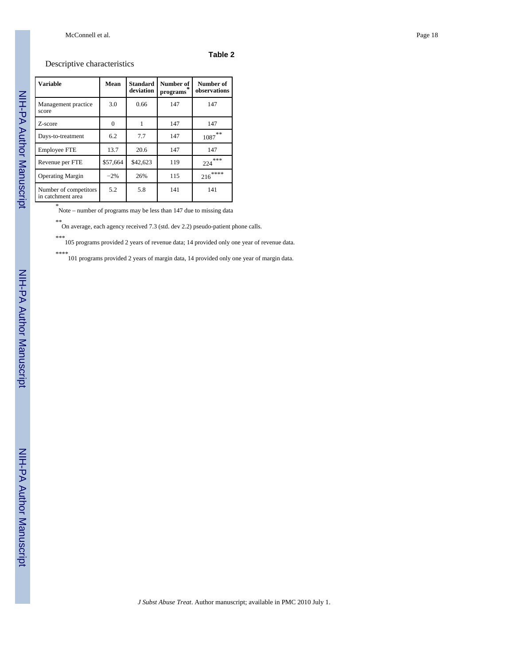Descriptive characteristics

| <b>Variable</b>                            | Mean     | <b>Standard</b><br>deviation | Number of<br>programs | Number of<br>observations |
|--------------------------------------------|----------|------------------------------|-----------------------|---------------------------|
| Management practice<br>score               | 3.0      | 0.66                         | 147                   | 147                       |
| Z-score                                    | 0        |                              | 147                   | 147                       |
| Days-to-treatment                          | 6.2      | 7.7                          | 147                   | **<br>1087                |
| <b>Employee FTE</b>                        | 13.7     | 20.6                         | 147                   | 147                       |
| Revenue per FTE                            | \$57,664 | \$42,623                     | 119                   | $224***$                  |
| <b>Operating Margin</b>                    | $-2%$    | 26%                          | 115                   | ****<br>216               |
| Number of competitors<br>in catchment area | 5.2      | 5.8                          | 141                   | 141                       |

*\** Note – number of programs may be less than 147 due to missing data

*\*\**On average, each agency received 7.3 (std. dev 2.2) pseudo-patient phone calls.

*\*\*\**105 programs provided 2 years of revenue data; 14 provided only one year of revenue data.

*\*\*\*\**101 programs provided 2 years of margin data, 14 provided only one year of margin data.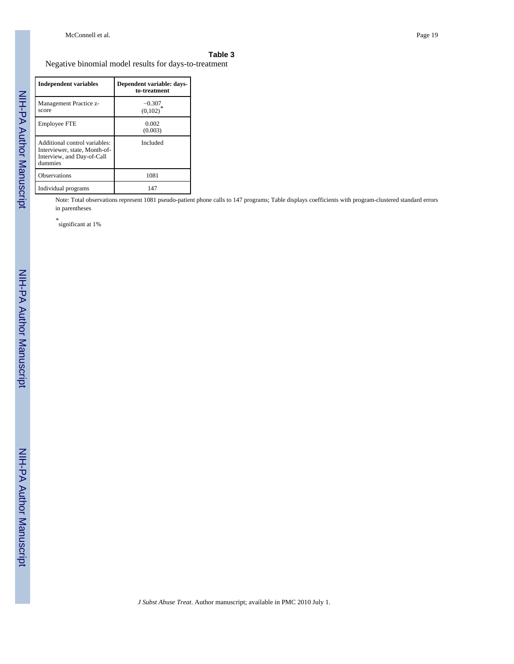Negative binomial model results for days-to-treatment

| <b>Independent variables</b>                                                                            | Dependent variable: days-<br>to-treatment |
|---------------------------------------------------------------------------------------------------------|-------------------------------------------|
| Management Practice z-<br>score                                                                         | $-0.307$<br>(0, 102)                      |
| <b>Employee FTE</b>                                                                                     | 0.002<br>(0.003)                          |
| Additional control variables:<br>Interviewer, state, Month-of-<br>Interview, and Day-of-Call<br>dummies | Included                                  |
| Observations                                                                                            | 1081                                      |
| Individual programs                                                                                     | 147                                       |

Note: Total observations represent 1081 pseudo-patient phone calls to 147 programs; Table displays coefficients with program-clustered standard errors in parentheses

*\** significant at 1%

NIH-PA Author Manuscript

NIH-PA Author Manuscript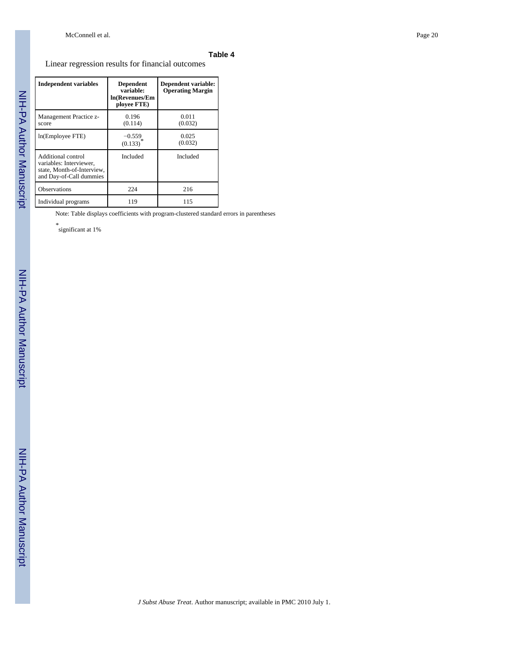Linear regression results for financial outcomes

| <b>Independent variables</b>                                                                           | <b>Dependent</b><br>variable:<br>In(Revenues/Em<br>plovee FTE) | Dependent variable:<br><b>Operating Margin</b> |
|--------------------------------------------------------------------------------------------------------|----------------------------------------------------------------|------------------------------------------------|
| Management Practice z-<br>score                                                                        | 0.196<br>(0.114)                                               | 0.011<br>(0.032)                               |
| ln(Employee FTE)                                                                                       | $-0.559$<br>(0.133)                                            | 0.025<br>(0.032)                               |
| Additional control<br>variables: Interviewer,<br>state, Month-of-Interview,<br>and Day-of-Call dummies | Included                                                       | Included                                       |
| Observations                                                                                           | 224                                                            | 216                                            |
| Individual programs                                                                                    | 119                                                            | 115                                            |

Note: Table displays coefficients with program-clustered standard errors in parentheses

*\** significant at 1%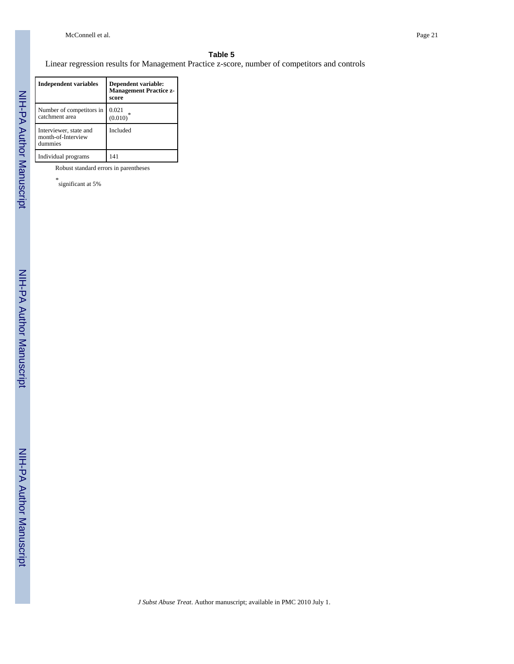Linear regression results for Management Practice z-score, number of competitors and controls

| <b>Independent variables</b>                            | Dependent variable:<br><b>Management Practice z-</b><br>score |  |
|---------------------------------------------------------|---------------------------------------------------------------|--|
| Number of competitors in<br>catchment area              | 0.021<br>∗<br>(0.010)                                         |  |
| Interviewer, state and<br>month-of-Interview<br>dummies | Included                                                      |  |
| Individual programs                                     | 141                                                           |  |

Robust standard errors in parentheses

*\** significant at 5%